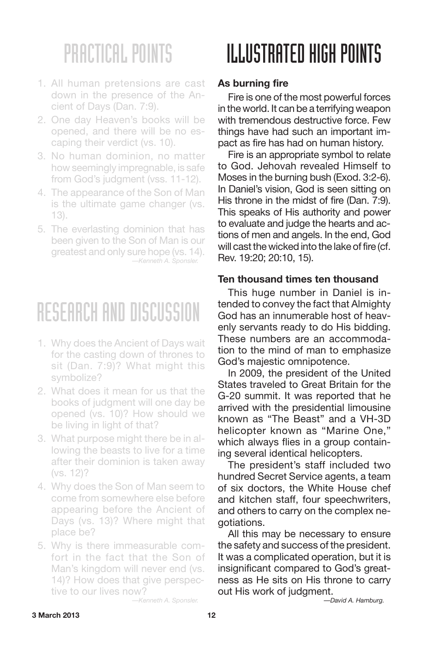- 1. All human pretensions are cast down in the presence of the Ancient of Days (Dan. 7:9).
- 2. One day Heaven's books will be opened, and there will be no escaping their verdict (vs. 10).
- 3. No human dominion, no matter how seemingly impregnable, is safe from God's judgment (vss. 11-12).
- 4. The appearance of the Son of Man is the ultimate game changer (vs. 13).
- 5. The everlasting dominion that has been given to the Son of Man is our greatest and only sure hope (vs. 14). *—Kenneth A. Sponsler.*

### RESEARCH AND DISCUSSION

- 1. Why does the Ancient of Days wait for the casting down of thrones to sit (Dan. 7:9)? What might this symbolize?
- 2. What does it mean for us that the books of judgment will one day be opened (vs. 10)? How should we be living in light of that?
- 3. What purpose might there be in allowing the beasts to live for a time after their dominion is taken away (vs. 12)?
- 4. Why does the Son of Man seem to come from somewhere else before appearing before the Ancient of Days (vs. 13)? Where might that place be?
- 5. Why is there immeasurable comfort in the fact that the Son of Man's kingdom will never end (vs. 14)? How does that give perspective to our lives now? *—Kenneth A. Sponsler.*

## ILLUSTRATED HIGH POINTS

### **As burning fire**

Fire is one of the most powerful forces in the world. It can be a terrifying weapon with tremendous destructive force. Few things have had such an important impact as fire has had on human history.

Fire is an appropriate symbol to relate to God. Jehovah revealed Himself to Moses in the burning bush (Exod. 3:2-6). In Daniel's vision, God is seen sitting on His throne in the midst of fire (Dan. 7:9). This speaks of His authority and power to evaluate and judge the hearts and actions of men and angels. In the end, God will cast the wicked into the lake of fire (cf. Rev. 19:20; 20:10, 15).

#### **Ten thousand times ten thousand**

This huge number in Daniel is intended to convey the fact that Almighty God has an innumerable host of heavenly servants ready to do His bidding. These numbers are an accommodation to the mind of man to emphasize God's majestic omnipotence.

In 2009, the president of the United States traveled to Great Britain for the G-20 summit. It was reported that he arrived with the presidential limousine known as "The Beast" and a VH-3D helicopter known as "Marine One," which always flies in a group containing several identical helicopters.

The president's staff included two hundred Secret Service agents, a team of six doctors, the White House chef and kitchen staff, four speechwriters, and others to carry on the complex negotiations.

All this may be necessary to ensure the safety and success of the president. It was a complicated operation, but it is insignificant compared to God's greatness as He sits on His throne to carry out His work of judgment.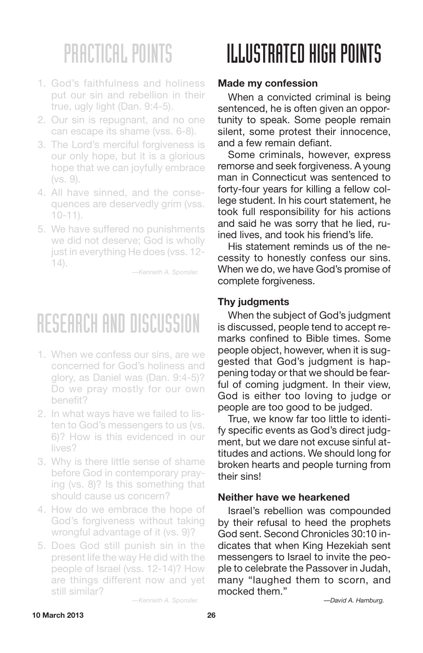- 1. God's faithfulness and holiness put our sin and rebellion in their true, ugly light (Dan. 9:4-5).
- 2. Our sin is repugnant, and no one can escape its shame (vss. 6-8).
- 3. The Lord's merciful forgiveness is our only hope, but it is a glorious hope that we can joyfully embrace (vs. 9).
- 4. All have sinned, and the consequences are deservedly grim (vss. 10-11).
- 5. We have suffered no punishments we did not deserve; God is wholly just in everything He does (vss. 12- 14).

*—Kenneth A. Sponsler.*

## RESEARCH AND DISCUSSION

- 1. When we confess our sins, are we concerned for God's holiness and glory, as Daniel was (Dan. 9:4-5)? Do we pray mostly for our own benefit?
- 2. In what ways have we failed to listen to God's messengers to us (vs. 6)? How is this evidenced in our lives?
- 3. Why is there little sense of shame before God in contemporary praying (vs. 8)? Is this something that should cause us concern?
- 4. How do we embrace the hope of God's forgiveness without taking wrongful advantage of it (vs. 9)?
- 5. Does God still punish sin in the present life the way He did with the people of Israel (vss. 12-14)? How are things different now and yet still similar?

## ILLUSTRATED HIGH POINTS

### **Made my confession**

When a convicted criminal is being sentenced, he is often given an opportunity to speak. Some people remain silent, some protest their innocence, and a few remain defiant.

Some criminals, however, express remorse and seek forgiveness. A young man in Connecticut was sentenced to forty-four years for killing a fellow college student. In his court statement, he took full responsibility for his actions and said he was sorry that he lied, ruined lives, and took his friend's life.

His statement reminds us of the necessity to honestly confess our sins. When we do, we have God's promise of complete forgiveness.

### **Thy judgments**

When the subject of God's judgment is discussed, people tend to accept remarks confined to Bible times. Some people object, however, when it is suggested that God's judgment is happening today or that we should be fearful of coming judgment. In their view, God is either too loving to judge or people are too good to be judged.

True, we know far too little to identify specific events as God's direct judgment, but we dare not excuse sinful attitudes and actions. We should long for broken hearts and people turning from their sins!

#### **Neither have we hearkened**

Israel's rebellion was compounded by their refusal to heed the prophets God sent. Second Chronicles 30:10 indicates that when King Hezekiah sent messengers to Israel to invite the people to celebrate the Passover in Judah, many "laughed them to scorn, and mocked them."

*—Kenneth A. Sponsler.*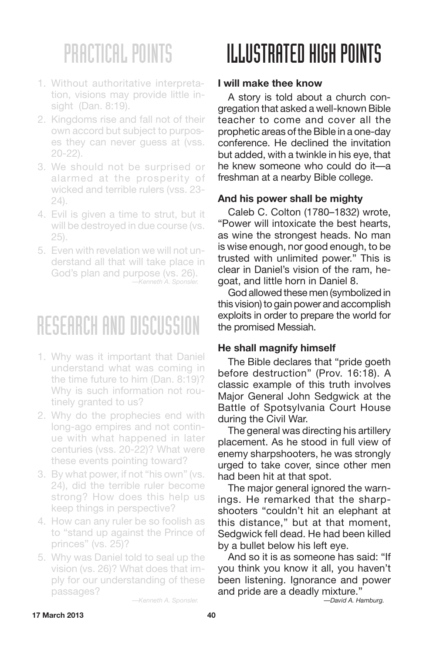- 1. Without authoritative interpretation, visions may provide little insight (Dan. 8:19).
- 2. Kingdoms rise and fall not of their own accord but subject to purposes they can never guess at (vss. 20-22).
- 3. We should not be surprised or alarmed at the prosperity of wicked and terrible rulers (vss. 23- 24).
- 4. Evil is given a time to strut, but it will be destroyed in due course (vs. 25).
- 5. Even with revelation we will not understand all that will take place in God's plan and purpose (vs. 26). *—Kenneth A. Sponsler.*

### RESEARCH AND DISCUSSION

- 1. Why was it important that Daniel understand what was coming in the time future to him (Dan. 8:19)? Why is such information not routinely granted to us?
- 2. Why do the prophecies end with long-ago empires and not continue with what happened in later centuries (vss. 20-22)? What were these events pointing toward?
- 3. By what power, if not "his own" (vs. 24), did the terrible ruler become strong? How does this help us keep things in perspective?
- 4. How can any ruler be so foolish as to "stand up against the Prince of princes" (vs. 25)?
- 5. Why was Daniel told to seal up the vision (vs. 26)? What does that imply for our understanding of these passages?

ILLUSTRATED HIGH POINTS

### **I will make thee know**

A story is told about a church congregation that asked a well-known Bible teacher to come and cover all the prophetic areas of the Bible in a one-day conference. He declined the invitation but added, with a twinkle in his eye, that he knew someone who could do it—a freshman at a nearby Bible college.

### **And his power shall be mighty**

Caleb C. Colton (1780–1832) wrote, "Power will intoxicate the best hearts, as wine the strongest heads. No man is wise enough, nor good enough, to be trusted with unlimited power." This is clear in Daniel's vision of the ram, hegoat, and little horn in Daniel 8.

God allowed these men (symbolized in this vision) to gain power and accomplish exploits in order to prepare the world for the promised Messiah.

### **He shall magnify himself**

The Bible declares that "pride goeth before destruction" (Prov. 16:18). A classic example of this truth involves Major General John Sedgwick at the Battle of Spotsylvania Court House during the Civil War.

The general was directing his artillery placement. As he stood in full view of enemy sharpshooters, he was strongly urged to take cover, since other men had been hit at that spot.

The major general ignored the warnings. He remarked that the sharpshooters "couldn't hit an elephant at this distance," but at that moment, Sedgwick fell dead. He had been killed by a bullet below his left eye.

And so it is as someone has said: "If you think you know it all, you haven't been listening. Ignorance and power and pride are a deadly mixture."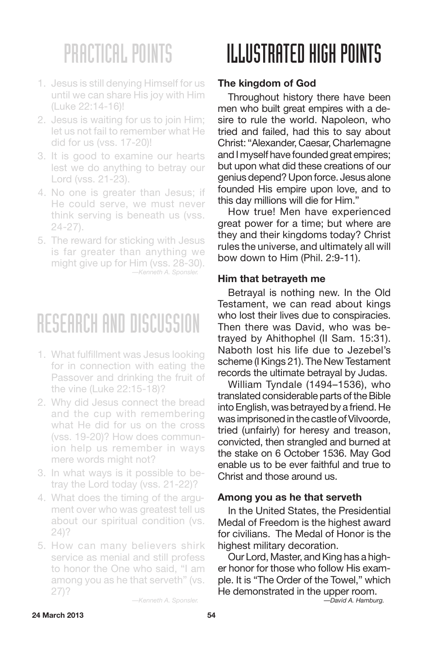- 1. Jesus is still denying Himself for us until we can share His joy with Him (Luke 22:14-16)!
- 2. Jesus is waiting for us to join Him; let us not fail to remember what He did for us (vss. 17-20)!
- 3. It is good to examine our hearts lest we do anything to betray our Lord (vss. 21-23).
- 4. No one is greater than Jesus; if He could serve, we must never think serving is beneath us (vss. 24-27).
- 5. The reward for sticking with Jesus is far greater than anything we might give up for Him (vss. 28-30). *—Kenneth A. Sponsler.*

### RESEARCH AND DISCUSSION

- 1. What fulfillment was Jesus looking for in connection with eating the Passover and drinking the fruit of the vine (Luke 22:15-18)?
- 2. Why did Jesus connect the bread and the cup with remembering what He did for us on the cross (vss. 19-20)? How does communion help us remember in ways mere words might not?
- 3. In what ways is it possible to betray the Lord today (vss. 21-22)?
- 4. What does the timing of the argument over who was greatest tell us about our spiritual condition (vs. 24)?
- 5. How can many believers shirk service as menial and still profess to honor the One who said, "I am among you as he that serveth" (vs. 27)?

## II.I.IISTRATED HIGH POINTS

### **The kingdom of God**

Throughout history there have been men who built great empires with a desire to rule the world. Napoleon, who tried and failed, had this to say about Christ: "Alexander, Caesar, Charlemagne and I myself have founded great empires; but upon what did these creations of our genius depend? Upon force. Jesus alone founded His empire upon love, and to this day millions will die for Him."

How true! Men have experienced great power for a time; but where are they and their kingdoms today? Christ rules the universe, and ultimately all will bow down to Him (Phil. 2:9-11).

#### **Him that betrayeth me**

Betrayal is nothing new. In the Old Testament, we can read about kings who lost their lives due to conspiracies. Then there was David, who was betrayed by Ahithophel (II Sam. 15:31). Naboth lost his life due to Jezebel's scheme (I Kings 21). The New Testament records the ultimate betrayal by Judas.

William Tyndale (1494–1536), who translated considerable parts of the Bible into English, was betrayed by a friend. He was imprisoned in the castle of Vilvoorde, tried (unfairly) for heresy and treason, convicted, then strangled and burned at the stake on 6 October 1536. May God enable us to be ever faithful and true to Christ and those around us.

#### **Among you as he that serveth**

In the United States, the Presidential Medal of Freedom is the highest award for civilians. The Medal of Honor is the highest military decoration.

Our Lord, Master, and King has a higher honor for those who follow His example. It is "The Order of the Towel," which He demonstrated in the upper room. *—David A. Hamburg.*

*—Kenneth A. Sponsler.*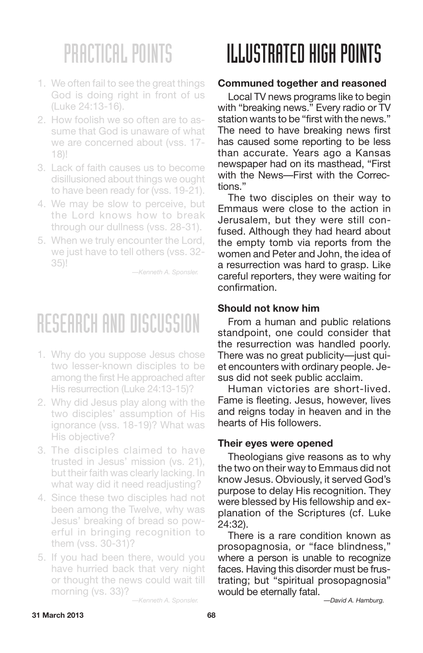- 1. We often fail to see the great things God is doing right in front of us (Luke 24:13-16).
- 2. How foolish we so often are to assume that God is unaware of what we are concerned about (vss. 17- 18)!
- 3. Lack of faith causes us to become disillusioned about things we ought to have been ready for (vss. 19-21).
- 4. We may be slow to perceive, but the Lord knows how to break through our dullness (vss. 28-31).
- 5. When we truly encounter the Lord, we just have to tell others (vss. 32- 35)!

*—Kenneth A. Sponsler.*

## RESEARCH AND DISCUSSION

- 1. Why do you suppose Jesus chose two lesser-known disciples to be among the first He approached after His resurrection (Luke 24:13-15)?
- 2. Why did Jesus play along with the two disciples' assumption of His ignorance (vss. 18-19)? What was His objective?
- 3. The disciples claimed to have trusted in Jesus' mission (vs. 21), but their faith was clearly lacking. In what way did it need readjusting?
- 4. Since these two disciples had not been among the Twelve, why was Jesus' breaking of bread so powerful in bringing recognition to them (vss. 30-31)?
- 5. If you had been there, would you have hurried back that very night or thought the news could wait till morning (vs. 33)?

# ILLUSTRATED HIGH POINTS

#### **Communed together and reasoned**

Local TV news programs like to begin with "breaking news." Every radio or TV station wants to be "first with the news." The need to have breaking news first has caused some reporting to be less than accurate. Years ago a Kansas newspaper had on its masthead, "First with the News—First with the Corrections."

The two disciples on their way to Emmaus were close to the action in Jerusalem, but they were still confused. Although they had heard about the empty tomb via reports from the women and Peter and John, the idea of a resurrection was hard to grasp. Like careful reporters, they were waiting for confirmation.

#### **Should not know him**

From a human and public relations standpoint, one could consider that the resurrection was handled poorly. There was no great publicity—just quiet encounters with ordinary people. Jesus did not seek public acclaim.

Human victories are short-lived. Fame is fleeting. Jesus, however, lives and reigns today in heaven and in the hearts of His followers.

#### **Their eyes were opened**

Theologians give reasons as to why the two on their way to Emmaus did not know Jesus. Obviously, it served God's purpose to delay His recognition. They were blessed by His fellowship and explanation of the Scriptures (cf. Luke 24:32).

There is a rare condition known as prosopagnosia, or "face blindness," where a person is unable to recognize faces. Having this disorder must be frustrating; but "spiritual prosopagnosia" would be eternally fatal.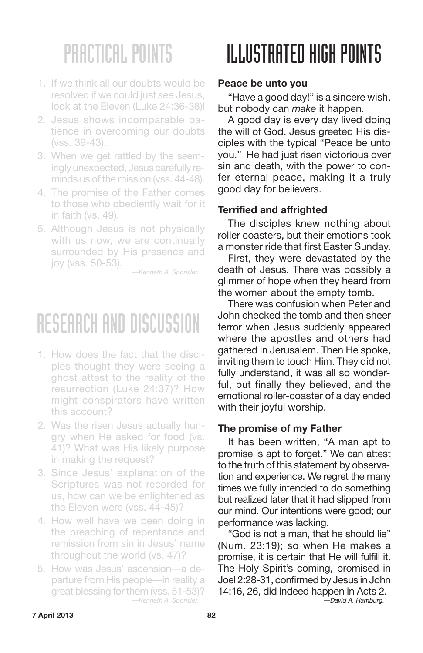- 1. If we think all our doubts would be resolved if we could just *see* Jesus, look at the Eleven (Luke 24:36-38)!
- 2. Jesus shows incomparable patience in overcoming our doubts (vss. 39-43).
- 3. When we get rattled by the seemingly unexpected, Jesus carefully reminds us of the mission (vss. 44-48).
- 4. The promise of the Father comes to those who obediently wait for it in faith (vs. 49).
- 5. Although Jesus is not physically with us now, we are continually surrounded by His presence and joy (vss. 50-53).

*—Kenneth A. Sponsler.*

## RESEARCH AND DISCUSSION

- 1. How does the fact that the disciples thought they were seeing a ghost attest to the reality of the resurrection (Luke 24:37)? How might conspirators have written this account?
- 2. Was the risen Jesus actually hungry when He asked for food (vs. 41)? What was His likely purpose in making the request?
- 3. Since Jesus' explanation of the Scriptures was not recorded for us, how can we be enlightened as the Eleven were (vss. 44-45)?
- 4. How well have we been doing in the preaching of repentance and remission from sin in Jesus' name throughout the world (vs. 47)?
- 5. How was Jesus' ascension—a departure from His people—in reality a great blessing for them (vss. 51-53)? *—Kenneth A. Sponsler.*

# ILLUSTRATED HIGH POINTS

#### **Peace be unto you**

"Have a good day!" is a sincere wish, but nobody can *make* it happen.

A good day is every day lived doing the will of God. Jesus greeted His disciples with the typical "Peace be unto you." He had just risen victorious over sin and death, with the power to confer eternal peace, making it a truly good day for believers.

### **Terrified and affrighted**

The disciples knew nothing about roller coasters, but their emotions took a monster ride that first Easter Sunday.

First, they were devastated by the death of Jesus. There was possibly a glimmer of hope when they heard from the women about the empty tomb.

There was confusion when Peter and John checked the tomb and then sheer terror when Jesus suddenly appeared where the apostles and others had gathered in Jerusalem. Then He spoke, inviting them to touch Him. They did not fully understand, it was all so wonderful, but finally they believed, and the emotional roller-coaster of a day ended with their joyful worship.

### **The promise of my Father**

It has been written, "A man apt to promise is apt to forget." We can attest to the truth of this statement by observation and experience. We regret the many times we fully intended to do something but realized later that it had slipped from our mind. Our intentions were good; our performance was lacking.

"God is not a man, that he should lie" (Num. 23:19); so when He makes a promise, it is certain that He will fulfill it. The Holy Spirit's coming, promised in Joel 2:28-31, confirmed by Jesus in John 14:16, 26, did indeed happen in Acts 2. *—David A. Hamburg.*

**7 April 2013 82**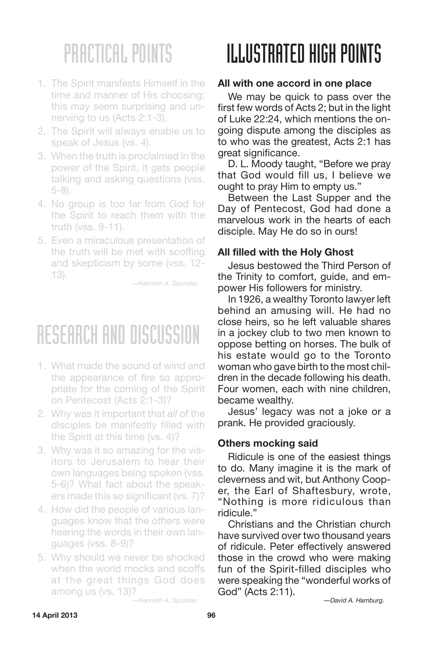- 1. The Spirit manifests Himself in the time and manner of His choosing; this may seem surprising and unnerving to us (Acts 2:1-3).
- 2. The Spirit will always enable us to speak of Jesus (vs. 4).
- 3. When the truth is proclaimed in the power of the Spirit, it gets people talking and asking questions (vss. 5-8).
- 4. No group is too far from God for the Spirit to reach them with the truth (vss. 9-11).
- 5. Even a miraculous presentation of the truth will be met with scoffing and skepticism by some (vss. 12- 13).

*—Kenneth A. Sponsler.*

### RESEARCH AND DISCUSSION

- 1. What made the sound of wind and the appearance of fire so appropriate for the coming of the Spirit on Pentecost (Acts 2:1-3)?
- 2. Why was it important that *all* of the disciples be manifestly filled with the Spirit at this time (vs. 4)?
- 3. Why was it so amazing for the visitors to Jerusalem to hear their own languages being spoken (vss. 5-6)? What fact about the speakers made this so significant (vs. 7)?
- 4. How did the people of various languages know that the *others* were hearing the words in their own languages (vss. 8-9)?
- 5. Why should we never be shocked when the world mocks and scoffs at the great things God does among us (vs. 13)?

*—Kenneth A. Sponsler.*

## ILLUSTRATED HIGH POINTS

#### **All with one accord in one place**

We may be quick to pass over the first few words of Acts 2; but in the light of Luke 22:24, which mentions the ongoing dispute among the disciples as to who was the greatest, Acts 2:1 has great significance.

D. L. Moody taught, "Before we pray that God would fill us, I believe we ought to pray Him to empty us."

Between the Last Supper and the Day of Pentecost, God had done a marvelous work in the hearts of each disciple. May He do so in ours!

#### **All filled with the Holy Ghost**

Jesus bestowed the Third Person of the Trinity to comfort, guide, and empower His followers for ministry.

In 1926, a wealthy Toronto lawyer left behind an amusing will. He had no close heirs, so he left valuable shares in a jockey club to two men known to oppose betting on horses. The bulk of his estate would go to the Toronto woman who gave birth to the most children in the decade following his death. Four women, each with nine children, became wealthy.

Jesus' legacy was not a joke or a prank. He provided graciously.

#### **Others mocking said**

Ridicule is one of the easiest things to do. Many imagine it is the mark of cleverness and wit, but Anthony Cooper, the Earl of Shaftesbury, wrote, "Nothing is more ridiculous than ridicule."

Christians and the Christian church have survived over two thousand years of ridicule. Peter effectively answered those in the crowd who were making fun of the Spirit-filled disciples who were speaking the "wonderful works of God" (Acts 2:11).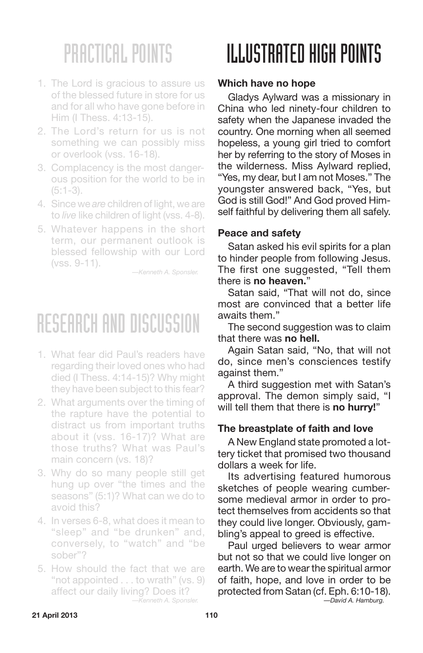- 1. The Lord is gracious to assure us of the blessed future in store for us and for all who have gone before in Him (I Thess. 4:13-15).
- 2. The Lord's return for us is not something we can possibly miss or overlook (vss. 16-18).
- 3. Complacency is the most dangerous position for the world to be in  $(5:1-3)$ .
- 4. Since we *are* children of light, we are to *live* like children of light (vss. 4-8).
- 5. Whatever happens in the short term, our permanent outlook is blessed fellowship with our Lord (vss. 9-11).

*—Kenneth A. Sponsler.*

## RESEARCH AND DISCUSSION

- 1. What fear did Paul's readers have regarding their loved ones who had died (I Thess. 4:14-15)? Why might they have been subject to this fear?
- 2. What arguments over the timing of the rapture have the potential to distract us from important truths about it (vss. 16-17)? What are those truths? What was Paul's main concern (vs. 18)?
- 3. Why do so many people still get hung up over "the times and the seasons" (5:1)? What can we do to avoid this?
- 4. In verses 6-8, what does it mean to "sleep" and "be drunken" and, conversely, to "watch" and "be sober"?
- 5. How should the fact that we are "not appointed . . . to wrath" (vs. 9) affect our daily living? Does it? *—Kenneth A. Sponsler.*

## ILLUSTRATED HIGH POINTS

### **Which have no hope**

Gladys Aylward was a missionary in China who led ninety-four children to safety when the Japanese invaded the country. One morning when all seemed hopeless, a young girl tried to comfort her by referring to the story of Moses in the wilderness. Miss Aylward replied, "Yes, my dear, but I am not Moses." The youngster answered back, "Yes, but God is still God!" And God proved Himself faithful by delivering them all safely.

### **Peace and safety**

Satan asked his evil spirits for a plan to hinder people from following Jesus. The first one suggested, "Tell them there is **no heaven.**"

Satan said, "That will not do, since most are convinced that a better life awaits them."

The second suggestion was to claim that there was **no hell.**

Again Satan said, "No, that will not do, since men's consciences testify against them."

A third suggestion met with Satan's approval. The demon simply said, "I will tell them that there is **no hurry!**"

### **The breastplate of faith and love**

A New England state promoted a lottery ticket that promised two thousand dollars a week for life.

Its advertising featured humorous sketches of people wearing cumbersome medieval armor in order to protect themselves from accidents so that they could live longer. Obviously, gambling's appeal to greed is effective.

Paul urged believers to wear armor but not so that we could live longer on earth. We are to wear the spiritual armor of faith, hope, and love in order to be protected from Satan (cf. Eph. 6:10-18). *—David A. Hamburg.*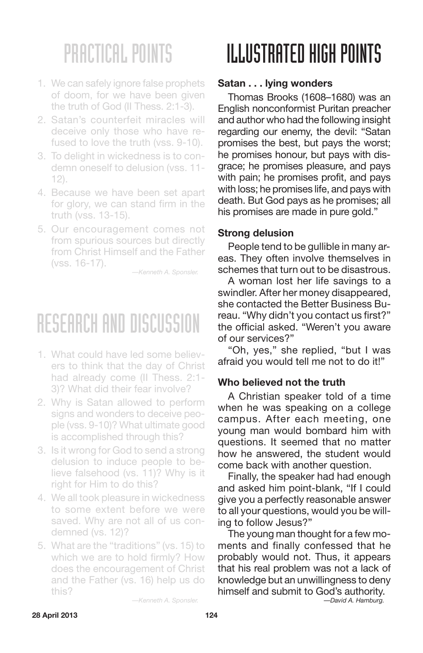- 1. We can safely ignore false prophets of doom, for we have been given the truth of God (II Thess. 2:1-3).
- 2. Satan's counterfeit miracles will deceive only those who have refused to love the truth (vss. 9-10).
- 3. To delight in wickedness is to condemn oneself to delusion (vss. 11- 12).
- 4. Because we have been set apart for glory, we can stand firm in the truth (vss. 13-15).
- 5. Our encouragement comes not from spurious sources but directly from Christ Himself and the Father (vss. 16-17).

*—Kenneth A. Sponsler.*

### RESEARCH AND DISCUSSION

- 1. What could have led some believers to think that the day of Christ had already come (II Thess. 2:1- 3)? What did their fear involve?
- 2. Why is Satan allowed to perform signs and wonders to deceive people (vss. 9-10)? What ultimate good is accomplished through this?
- 3. Is it wrong for God to send a strong delusion to induce people to believe falsehood (vs. 11)? Why is it right for Him to do this?
- 4. We all took pleasure in wickedness to some extent before we were saved. Why are not all of us condemned (vs. 12)?
- 5. What are the "traditions" (vs. 15) to which we are to hold firmly? How does the encouragement of Christ and the Father (vs. 16) help us do this?

## ILLUSTRATED HIGH POINTS

### **Satan . . . lying wonders**

Thomas Brooks (1608–1680) was an English nonconformist Puritan preacher and author who had the following insight regarding our enemy, the devil: "Satan promises the best, but pays the worst; he promises honour, but pays with disgrace; he promises pleasure, and pays with pain; he promises profit, and pays with loss; he promises life, and pays with death. But God pays as he promises; all his promises are made in pure gold."

#### **Strong delusion**

People tend to be gullible in many areas. They often involve themselves in schemes that turn out to be disastrous.

A woman lost her life savings to a swindler. After her money disappeared, she contacted the Better Business Bureau. "Why didn't you contact us first?" the official asked. "Weren't you aware of our services?"

"Oh, yes," she replied, "but I was afraid you would tell me not to do it!"

### **Who believed not the truth**

A Christian speaker told of a time when he was speaking on a college campus. After each meeting, one young man would bombard him with questions. It seemed that no matter how he answered, the student would come back with another question.

Finally, the speaker had had enough and asked him point-blank, "If I could give you a perfectly reasonable answer to all your questions, would you be willing to follow Jesus?"

The young man thought for a few moments and finally confessed that he probably would not. Thus, it appears that his real problem was not a lack of knowledge but an unwillingness to deny himself and submit to God's authority.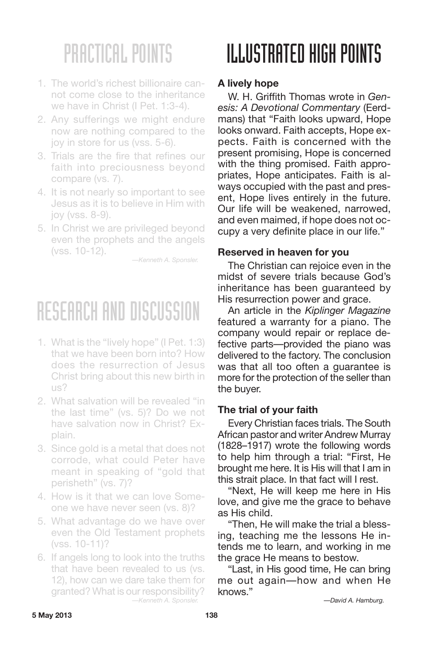- 1. The world's richest billionaire cannot come close to the inheritance we have in Christ (I Pet. 1:3-4).
- 2. Any sufferings we might endure now are nothing compared to the joy in store for us (vss. 5-6).
- 3. Trials are the fire that refines our faith into preciousness beyond compare (vs. 7).
- 4. It is not nearly so important to see Jesus as it is to believe in Him with joy (vss. 8-9).
- 5. In Christ we are privileged beyond even the prophets and the angels (vss. 10-12).

*—Kenneth A. Sponsler.*

## RESEARCH AND DISCUSSION

- 1. What is the "lively hope" (I Pet. 1:3) that we have been born into? How does the resurrection of Jesus Christ bring about this new birth in us?
- 2. What salvation will be revealed "in the last time" (vs. 5)? Do we not have salvation now in Christ? Explain.
- 3. Since gold is a metal that does not corrode, what could Peter have meant in speaking of "gold that perisheth" (vs. 7)?
- 4. How is it that we can love Someone we have never seen (vs. 8)?
- 5. What advantage do we have over even the Old Testament prophets (vss. 10-11)?
- 6. If angels long to look into the truths that have been revealed to us (vs. 12), how can we dare take them for granted? What is our responsibility? *—Kenneth A. Sponsler.*

# ILLUSTRATED HIGH POINTS

### **A lively hope**

W. H. Griffith Thomas wrote in *Genesis: A Devotional Commentary* (Eerdmans) that "Faith looks upward, Hope looks onward. Faith accepts, Hope expects. Faith is concerned with the present promising, Hope is concerned with the thing promised. Faith appropriates, Hope anticipates. Faith is always occupied with the past and present, Hope lives entirely in the future. Our life will be weakened, narrowed, and even maimed, if hope does not occupy a very definite place in our life."

### **Reserved in heaven for you**

The Christian can rejoice even in the midst of severe trials because God's inheritance has been guaranteed by His resurrection power and grace.

An article in the *Kiplinger Magazine* featured a warranty for a piano. The company would repair or replace defective parts—provided the piano was delivered to the factory. The conclusion was that all too often a guarantee is more for the protection of the seller than the buyer.

### **The trial of your faith**

Every Christian faces trials. The South African pastor and writer Andrew Murray (1828–1917) wrote the following words to help him through a trial: "First, He brought me here. It is His will that I am in this strait place. In that fact will I rest.

"Next, He will keep me here in His love, and give me the grace to behave as His child.

"Then, He will make the trial a blessing, teaching me the lessons He intends me to learn, and working in me the grace He means to bestow.

"Last, in His good time, He can bring me out again—how and when He knows."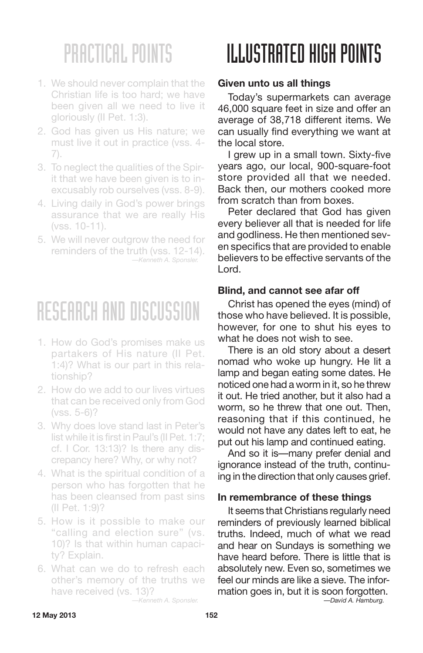- 1. We should never complain that the Christian life is too hard; we have been given all we need to live it gloriously (II Pet. 1:3).
- 2. God has given us His nature; we must live it out in practice (vss. 4- 7).
- 3. To neglect the qualities of the Spirit that we have been given is to inexcusably rob ourselves (vss. 8-9).
- 4. Living daily in God's power brings assurance that we are really His (vss. 10-11).
- 5. We will never outgrow the need for reminders of the truth (vss. 12-14). *—Kenneth A. Sponsler.*

### RESEARCH AND DISCUSSION

- 1. How do God's promises make us partakers of His nature (II Pet. 1:4)? What is our part in this relationship?
- 2. How do we add to our lives virtues that can be received only from God (vss. 5-6)?
- 3. Why does love stand last in Peter's list while it is first in Paul's (II Pet. 1:7; cf. I Cor. 13:13)? Is there any discrepancy here? Why, or why not?
- 4. What is the spiritual condition of a person who has forgotten that he has been cleansed from past sins (II Pet. 1:9)?
- 5. How is it possible to make our "calling and election sure" (vs. 10)? Is that within human capacity? Explain.
- 6. What can we do to refresh each other's memory of the truths we have received (vs. 13)?

# ILLUSTRATED HIGH POINTS

### **Given unto us all things**

Today's supermarkets can average 46,000 square feet in size and offer an average of 38,718 different items. We can usually find everything we want at the local store.

I grew up in a small town. Sixty-five years ago, our local, 900-square-foot store provided all that we needed. Back then, our mothers cooked more from scratch than from boxes.

Peter declared that God has given every believer all that is needed for life and godliness. He then mentioned seven specifics that are provided to enable believers to be effective servants of the Lord.

#### **Blind, and cannot see afar off**

Christ has opened the eyes (mind) of those who have believed. It is possible, however, for one to shut his eyes to what he does not wish to see.

There is an old story about a desert nomad who woke up hungry. He lit a lamp and began eating some dates. He noticed one had a worm in it, so he threw it out. He tried another, but it also had a worm, so he threw that one out. Then, reasoning that if this continued, he would not have any dates left to eat, he put out his lamp and continued eating.

And so it is—many prefer denial and ignorance instead of the truth, continuing in the direction that only causes grief.

#### **In remembrance of these things**

It seems that Christians regularly need reminders of previously learned biblical truths. Indeed, much of what we read and hear on Sundays is something we have heard before. There is little that is absolutely new. Even so, sometimes we feel our minds are like a sieve. The information goes in, but it is soon forgotten.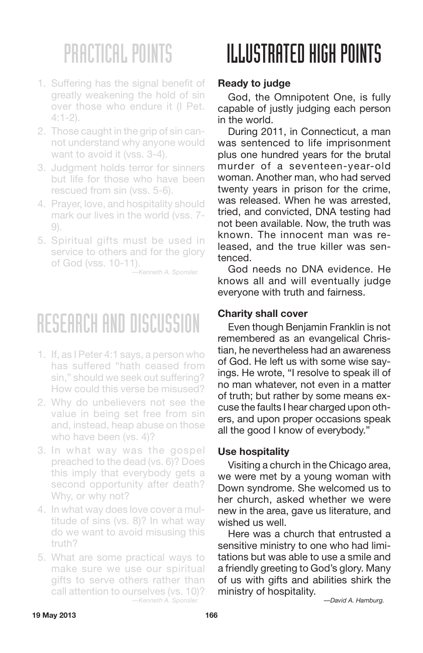- 1. Suffering has the signal benefit of greatly weakening the hold of sin over those who endure it (I Pet.  $4.1 - 2$
- 2. Those caught in the grip of sin cannot understand why anyone would want to avoid it (vss. 3-4).
- 3. Judgment holds terror for sinners but life for those who have been rescued from sin (vss. 5-6).
- 4. Prayer, love, and hospitality should mark our lives in the world (vss. 7- 9).
- 5. Spiritual gifts must be used in service to others and for the glory of God (vss. 10-11).

*—Kenneth A. Sponsler.*

## RESEARCH AND DISCUSSION

- 1. If, as I Peter 4:1 says, a person who has suffered "hath ceased from sin," should we seek out suffering? How could this verse be misused?
- 2. Why do unbelievers not see the value in being set free from sin and, instead, heap abuse on those who have been (vs. 4)?
- 3. In what way was the gospel preached to the dead (vs. 6)? Does this imply that everybody gets a second opportunity after death? Why, or why not?
- 4. In what way does love cover a multitude of sins (vs. 8)? In what way do we want to avoid misusing this truth?
- 5. What are some practical ways to make sure we use our spiritual gifts to serve others rather than call attention to ourselves (vs. 10)? *—Kenneth A. Sponsler.*

# II.I.IISTRATED HIGH POINTS

### **Ready to judge**

God, the Omnipotent One, is fully capable of justly judging each person in the world.

During 2011, in Connecticut, a man was sentenced to life imprisonment plus one hundred years for the brutal murder of a seventeen-year-old woman. Another man, who had served twenty years in prison for the crime, was released. When he was arrested, tried, and convicted, DNA testing had not been available. Now, the truth was known. The innocent man was released, and the true killer was sentenced.

God needs no DNA evidence. He knows all and will eventually judge everyone with truth and fairness.

#### **Charity shall cover**

Even though Benjamin Franklin is not remembered as an evangelical Christian, he nevertheless had an awareness of God. He left us with some wise sayings. He wrote, "I resolve to speak ill of no man whatever, not even in a matter of truth; but rather by some means excuse the faults I hear charged upon others, and upon proper occasions speak all the good I know of everybody."

#### **Use hospitality**

Visiting a church in the Chicago area, we were met by a young woman with Down syndrome. She welcomed us to her church, asked whether we were new in the area, gave us literature, and wished us well.

Here was a church that entrusted a sensitive ministry to one who had limitations but was able to use a smile and a friendly greeting to God's glory. Many of us with gifts and abilities shirk the ministry of hospitality.